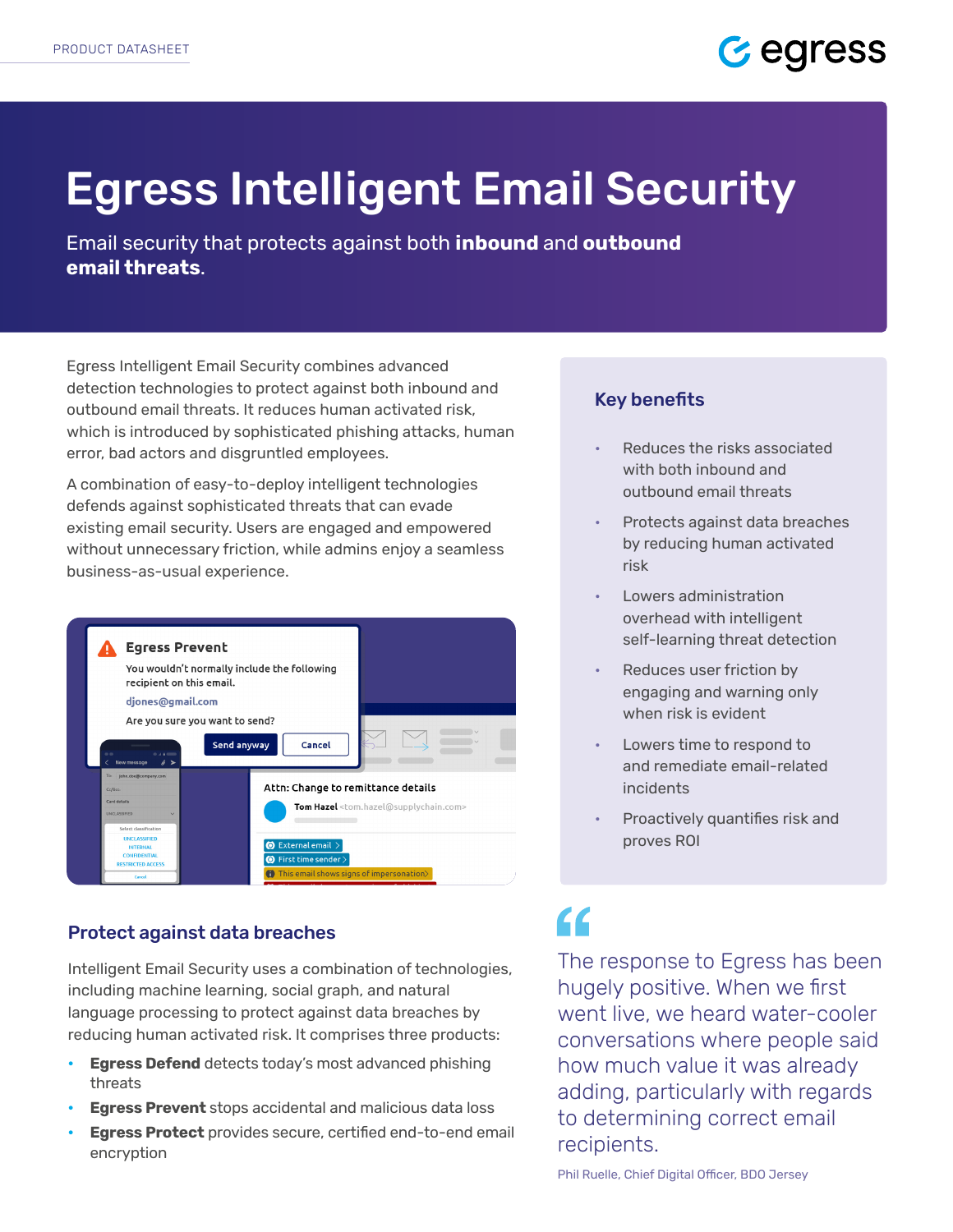

# Egress Intelligent Email Security

Email security that protects against both **inbound** and **outbound email threats**.

Egress Intelligent Email Security combines advanced detection technologies to protect against both inbound and outbound email threats. It reduces human activated risk, which is introduced by sophisticated phishing attacks, human error, bad actors and disgruntled employees.

A combination of easy-to-deploy intelligent technologies defends against sophisticated threats that can evade existing email security. Users are engaged and empowered without unnecessary friction, while admins enjoy a seamless business-as-usual experience.



## Protect against data breaches

Intelligent Email Security uses a combination of technologies, including machine learning, social graph, and natural language processing to protect against data breaches by reducing human activated risk. It comprises three products:

- **• Egress Defend** detects today's most advanced phishing threats
- **• Egress Prevent** stops accidental and malicious data loss
- **• Egress Protect** provides secure, certified end-to-end email encryption

## Key benefits

- Reduces the risks associated with both inbound and outbound email threats
- Protects against data breaches by reducing human activated risk
- Lowers administration overhead with intelligent self-learning threat detection
- Reduces user friction by engaging and warning only when risk is evident
- Lowers time to respond to and remediate email-related incidents
- Proactively quantifies risk and proves ROI

## $\epsilon$

The response to Egress has been hugely positive. When we first went live, we heard water-cooler conversations where people said how much value it was already adding, particularly with regards to determining correct email recipients.